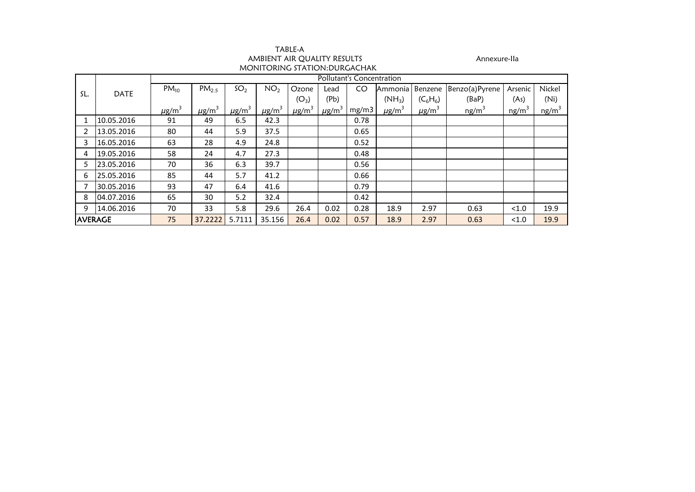| TABLE-A                      |  |
|------------------------------|--|
| AMBIENT AIR OUALITY RESULTS  |  |
| MONITORING STATION:DURGACHAK |  |

Annexure-IIa<br>IK

|     |                                                                                                     | <b>Pollutant's Concentration</b> |                        |                        |                        |                        |                        |       |                        |                        |                   |                   |                   |  |
|-----|-----------------------------------------------------------------------------------------------------|----------------------------------|------------------------|------------------------|------------------------|------------------------|------------------------|-------|------------------------|------------------------|-------------------|-------------------|-------------------|--|
|     |                                                                                                     | $PM_{10}$                        | PM <sub>2.5</sub>      | SO <sub>2</sub>        | NO <sub>2</sub>        | Ozone                  | Lead                   | CO.   | Ammonia   Benzene      |                        | Benzo(a)Pyrene    | Arsenic           | Nickel            |  |
| SL. | <b>DATE</b>                                                                                         |                                  |                        |                        |                        | $(O_3)$                | (Pb)                   |       | $(NH_3)$               | $(C_6H_6)$             | (BaP)             | (As)              | (Ni)              |  |
|     |                                                                                                     | $\mu$ g/m <sup>3</sup>           | $\mu$ g/m <sup>3</sup> | $\mu$ g/m <sup>3</sup> | $\mu$ g/m <sup>3</sup> | $\mu$ g/m <sup>3</sup> | $\mu$ g/m <sup>3</sup> | mg/m3 | $\mu$ g/m <sup>3</sup> | $\mu$ g/m <sup>3</sup> | ng/m <sup>3</sup> | ng/m <sup>3</sup> | ng/m <sup>3</sup> |  |
|     | 10.05.2016                                                                                          | 91                               | 49                     | 6.5                    | 42.3                   |                        |                        | 0.78  |                        |                        |                   |                   |                   |  |
|     | 13.05.2016                                                                                          | 80                               | 44                     | 5.9                    | 37.5                   |                        |                        | 0.65  |                        |                        |                   |                   |                   |  |
|     | 16.05.2016                                                                                          | 63                               | 28                     | 4.9                    | 24.8                   |                        |                        | 0.52  |                        |                        |                   |                   |                   |  |
| 4   | 19.05.2016                                                                                          | 58                               | 24                     | 4.7                    | 27.3                   |                        |                        | 0.48  |                        |                        |                   |                   |                   |  |
| 5.  | 23.05.2016                                                                                          | 70                               | 36                     | 6.3                    | 39.7                   |                        |                        | 0.56  |                        |                        |                   |                   |                   |  |
| 6   | 25.05.2016                                                                                          | 85                               | 44                     | 5.7                    | 41.2                   |                        |                        | 0.66  |                        |                        |                   |                   |                   |  |
|     | 30.05.2016                                                                                          | 93                               | 47                     | 6.4                    | 41.6                   |                        |                        | 0.79  |                        |                        |                   |                   |                   |  |
| 8   | 04.07.2016                                                                                          | 65                               | 30                     | 5.2                    | 32.4                   |                        |                        | 0.42  |                        |                        |                   |                   |                   |  |
| 9   | 14.06.2016                                                                                          | 70                               | 33                     | 5.8                    | 29.6                   | 26.4                   | 0.02                   | 0.28  | 18.9                   | 2.97                   | 0.63              | < 1.0             | 19.9              |  |
|     | <b>AVERAGE</b><br>0.57<br>2.97<br>75<br>35.156<br>0.02<br>18.9<br>37.2222<br>5.7111<br>26.4<br>0.63 |                                  |                        |                        |                        | < 1.0                  | 19.9                   |       |                        |                        |                   |                   |                   |  |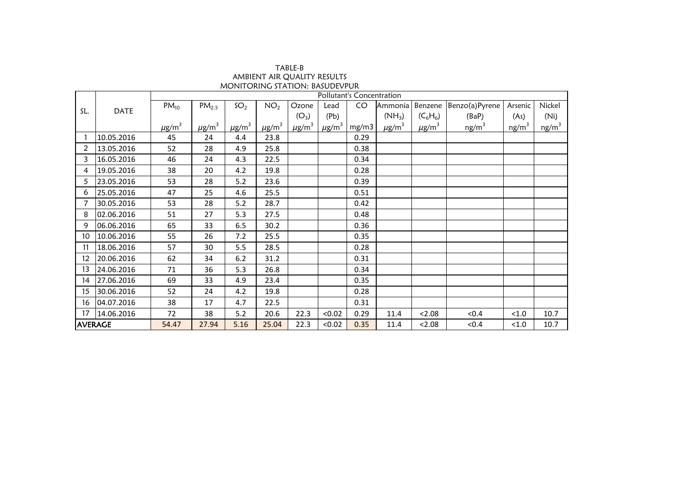| TABLE-B                               |
|---------------------------------------|
| AMBIENT AIR OUALITY RESULTS           |
| <b>MONITORING STATION: BASUDEVPUR</b> |

|                | Pollutant's Concentration |                        |                        |                        |                        |                        |                        |       |                        |                        |                |                   |                   |
|----------------|---------------------------|------------------------|------------------------|------------------------|------------------------|------------------------|------------------------|-------|------------------------|------------------------|----------------|-------------------|-------------------|
|                |                           | $PM_{10}$              | PM <sub>2.5</sub>      | SO <sub>2</sub>        | NO <sub>2</sub>        | Ozone                  | Lead                   | CO    | Ammonia                | Benzene                | Benzo(a)Pyrene | Arsenic           | Nickel            |
| SL.            | DATE                      |                        |                        |                        |                        | $(O_3)$                | (Pb)                   |       | $(NH_3)$               | $(C_6H_6)$             | (BaP)          | (As)              | (Ni)              |
|                |                           | $\mu$ g/m <sup>3</sup> | $\mu$ g/m <sup>3</sup> | $\mu$ g/m <sup>3</sup> | $\mu$ g/m <sup>3</sup> | $\mu$ g/m <sup>3</sup> | $\mu$ g/m <sup>3</sup> | mg/m3 | $\mu$ g/m <sup>3</sup> | $\mu$ g/m <sup>3</sup> | $ng/m^3$       | ng/m <sup>3</sup> | ng/m <sup>3</sup> |
|                | 10.05.2016                | 45                     | 24                     | 4.4                    | 23.8                   |                        |                        | 0.29  |                        |                        |                |                   |                   |
| 2              | 13.05.2016                | 52                     | 28                     | 4.9                    | 25.8                   |                        |                        | 0.38  |                        |                        |                |                   |                   |
| 3              | 16.05.2016                | 46                     | 24                     | 4.3                    | 22.5                   |                        |                        | 0.34  |                        |                        |                |                   |                   |
| 4              | 19.05.2016                | 38                     | 20                     | 4.2                    | 19.8                   |                        |                        | 0.28  |                        |                        |                |                   |                   |
| 5              | 23.05.2016                | 53                     | 28                     | 5.2                    | 23.6                   |                        |                        | 0.39  |                        |                        |                |                   |                   |
| 6              | 25.05.2016                | 47                     | 25                     | 4.6                    | 25.5                   |                        |                        | 0.51  |                        |                        |                |                   |                   |
|                | 30.05.2016                | 53                     | 28                     | 5.2                    | 28.7                   |                        |                        | 0.42  |                        |                        |                |                   |                   |
| 8              | 02.06.2016                | 51                     | 27                     | 5.3                    | 27.5                   |                        |                        | 0.48  |                        |                        |                |                   |                   |
| 9              | 06.06.2016                | 65                     | 33                     | 6.5                    | 30.2                   |                        |                        | 0.36  |                        |                        |                |                   |                   |
| 10             | 10.06.2016                | 55                     | 26                     | 7.2                    | 25.5                   |                        |                        | 0.35  |                        |                        |                |                   |                   |
| 11             | 18.06.2016                | 57                     | 30                     | 5.5                    | 28.5                   |                        |                        | 0.28  |                        |                        |                |                   |                   |
| 12             | 20.06.2016                | 62                     | 34                     | 6.2                    | 31.2                   |                        |                        | 0.31  |                        |                        |                |                   |                   |
| 13             | 24.06.2016                | 71                     | 36                     | 5.3                    | 26.8                   |                        |                        | 0.34  |                        |                        |                |                   |                   |
| 14             | 27.06.2016                | 69                     | 33                     | 4.9                    | 23.4                   |                        |                        | 0.35  |                        |                        |                |                   |                   |
| 15             | 30.06.2016                | 52                     | 24                     | 4.2                    | 19.8                   |                        |                        | 0.28  |                        |                        |                |                   |                   |
| 16             | 04.07.2016                | 38                     | 17                     | 4.7                    | 22.5                   |                        |                        | 0.31  |                        |                        |                |                   |                   |
| 17             | 14.06.2016                | 72                     | 38                     | 5.2                    | 20.6                   | 22.3                   | < 0.02                 | 0.29  | 11.4                   | < 2.08                 | < 0.4          | < 1.0             | 10.7              |
| <b>AVERAGE</b> |                           | 54.47                  | 27.94                  | 5.16                   | 25.04                  | 22.3                   | < 0.02                 | 0.35  | 11.4                   | 2.08                   | < 0.4          | < 1.0             | 10.7              |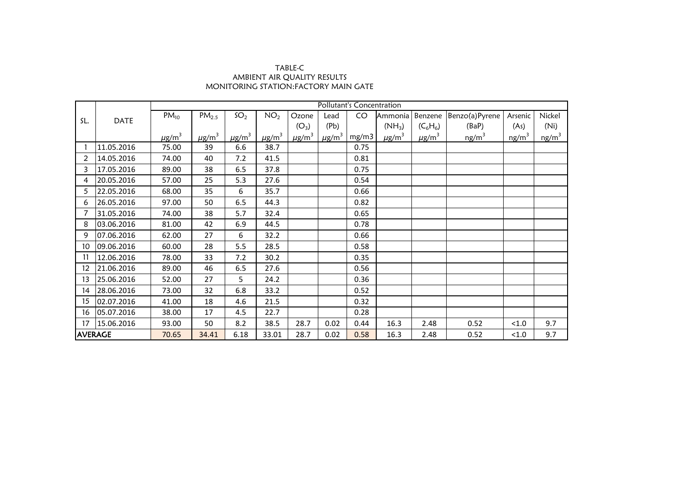## AMBIENT AIR QUALITY RESULTS MONITORING STATION:FACTORY MAIN GATE TABLE-C

|                   |             |                        | Pollutant's Concentration |                        |                        |                        |                        |       |                        |                        |                   |          |                   |  |
|-------------------|-------------|------------------------|---------------------------|------------------------|------------------------|------------------------|------------------------|-------|------------------------|------------------------|-------------------|----------|-------------------|--|
| SL.               |             | $PM_{10}$              | $PM_{2.5}$                | SO <sub>2</sub>        | NO <sub>2</sub>        | Ozone                  | Lead                   | CO    | Ammonia                | Benzene                | Benzo(a)Pyrene    | Arsenic  | Nickel            |  |
|                   | <b>DATE</b> |                        |                           |                        |                        | $(O_3)$                | (Pb)                   |       | $(NH_3)$               | $(C_6H_6)$             | (BaP)             | (As)     | (Ni)              |  |
|                   |             | $\mu$ g/m <sup>3</sup> | $\mu$ g/m <sup>3</sup>    | $\mu$ g/m <sup>3</sup> | $\mu$ g/m <sup>3</sup> | $\mu$ g/m <sup>3</sup> | $\mu$ g/m <sup>3</sup> | mg/m3 | $\mu$ g/m <sup>3</sup> | $\mu$ g/m <sup>3</sup> | ng/m <sup>3</sup> | $ng/m^3$ | ng/m <sup>3</sup> |  |
|                   | 11.05.2016  | 75.00                  | 39                        | 6.6                    | 38.7                   |                        |                        | 0.75  |                        |                        |                   |          |                   |  |
| 2                 | 14.05.2016  | 74.00                  | 40                        | 7.2                    | 41.5                   |                        |                        | 0.81  |                        |                        |                   |          |                   |  |
| 3                 | 17.05.2016  | 89.00                  | 38                        | 6.5                    | 37.8                   |                        |                        | 0.75  |                        |                        |                   |          |                   |  |
| 4                 | 20.05.2016  | 57.00                  | 25                        | 5.3                    | 27.6                   |                        |                        | 0.54  |                        |                        |                   |          |                   |  |
| 5                 | 22.05.2016  | 68.00                  | 35                        | 6                      | 35.7                   |                        |                        | 0.66  |                        |                        |                   |          |                   |  |
| 6                 | 26.05.2016  | 97.00                  | 50                        | 6.5                    | 44.3                   |                        |                        | 0.82  |                        |                        |                   |          |                   |  |
|                   | 31.05.2016  | 74.00                  | 38                        | 5.7                    | 32.4                   |                        |                        | 0.65  |                        |                        |                   |          |                   |  |
| 8                 | 03.06.2016  | 81.00                  | 42                        | 6.9                    | 44.5                   |                        |                        | 0.78  |                        |                        |                   |          |                   |  |
| 9                 | 07.06.2016  | 62.00                  | 27                        | 6                      | 32.2                   |                        |                        | 0.66  |                        |                        |                   |          |                   |  |
| 10                | 09.06.2016  | 60.00                  | 28                        | 5.5                    | 28.5                   |                        |                        | 0.58  |                        |                        |                   |          |                   |  |
| 11                | 12.06.2016  | 78.00                  | 33                        | 7.2                    | 30.2                   |                        |                        | 0.35  |                        |                        |                   |          |                   |  |
| $12 \overline{ }$ | 21.06.2016  | 89.00                  | 46                        | 6.5                    | 27.6                   |                        |                        | 0.56  |                        |                        |                   |          |                   |  |
| 13                | 25.06.2016  | 52.00                  | 27                        | 5                      | 24.2                   |                        |                        | 0.36  |                        |                        |                   |          |                   |  |
| 14                | 28.06.2016  | 73.00                  | 32                        | 6.8                    | 33.2                   |                        |                        | 0.52  |                        |                        |                   |          |                   |  |
| 15                | 02.07.2016  | 41.00                  | 18                        | 4.6                    | 21.5                   |                        |                        | 0.32  |                        |                        |                   |          |                   |  |
| 16                | 05.07.2016  | 38.00                  | 17                        | 4.5                    | 22.7                   |                        |                        | 0.28  |                        |                        |                   |          |                   |  |
| 17                | 15.06.2016  | 93.00                  | 50                        | 8.2                    | 38.5                   | 28.7                   | 0.02                   | 0.44  | 16.3                   | 2.48                   | 0.52              | < 1.0    | 9.7               |  |
| <b>AVERAGE</b>    |             | 70.65                  | 34.41                     | 6.18                   | 33.01                  | 28.7                   | 0.02                   | 0.58  | 16.3                   | 2.48                   | 0.52              | < 1.0    | 9.7               |  |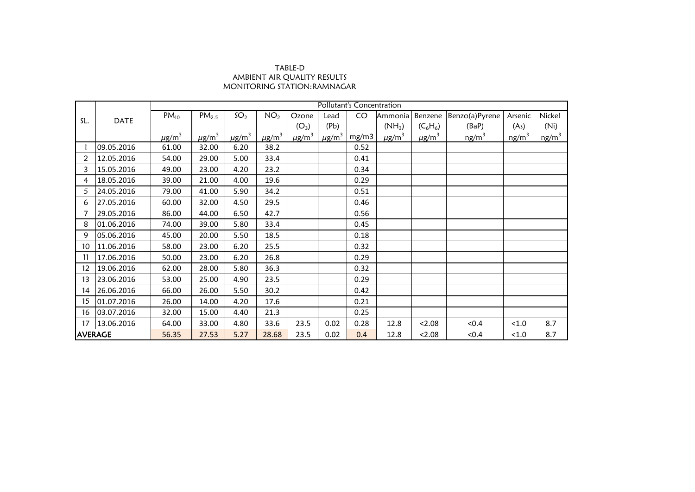## TABLE-D AMBIENT AIR QUALITY RESULTS MONITORING STATION:RAMNAGAR

|                 |            | Pollutant's Concentration<br>SO <sub>2</sub><br>$PM_{10}$<br>$PM_{2.5}$<br>NO <sub>2</sub><br>CO<br>Ozone<br>Ammonia Benzene<br>Benzo(a)Pyrene<br>Lead<br>Arsenic<br><b>DATE</b><br>$(NH_3)$<br>$(C_6H_6)$<br>$(O_3)$<br>(Pb)<br>(BaP)<br>(As) |                        |                        |                        |                        |                        |       |                        |                        |                   |          |                   |
|-----------------|------------|------------------------------------------------------------------------------------------------------------------------------------------------------------------------------------------------------------------------------------------------|------------------------|------------------------|------------------------|------------------------|------------------------|-------|------------------------|------------------------|-------------------|----------|-------------------|
|                 |            |                                                                                                                                                                                                                                                |                        |                        |                        |                        |                        |       |                        |                        |                   |          | Nickel            |
| SL.             |            |                                                                                                                                                                                                                                                |                        |                        |                        |                        |                        |       |                        |                        |                   |          | (Ni)              |
|                 |            | $\mu$ g/m <sup>3</sup>                                                                                                                                                                                                                         | $\mu$ g/m <sup>3</sup> | $\mu$ g/m <sup>3</sup> | $\mu$ g/m <sup>3</sup> | $\mu$ g/m <sup>3</sup> | $\mu$ g/m <sup>3</sup> | mg/m3 | $\mu$ g/m <sup>3</sup> | $\mu$ g/m <sup>3</sup> | ng/m <sup>3</sup> | $ng/m^3$ | ng/m <sup>3</sup> |
|                 | 09.05.2016 | 61.00                                                                                                                                                                                                                                          | 32.00                  | 6.20                   | 38.2                   |                        |                        | 0.52  |                        |                        |                   |          |                   |
| 2               | 12.05.2016 | 54.00                                                                                                                                                                                                                                          | 29.00                  | 5.00                   | 33.4                   |                        |                        | 0.41  |                        |                        |                   |          |                   |
| 3               | 15.05.2016 | 49.00                                                                                                                                                                                                                                          | 23.00                  | 4.20                   | 23.2                   |                        |                        | 0.34  |                        |                        |                   |          |                   |
| 4               | 18.05.2016 | 39.00                                                                                                                                                                                                                                          | 21.00                  | 4.00                   | 19.6                   |                        |                        | 0.29  |                        |                        |                   |          |                   |
| 5               | 24.05.2016 | 79.00                                                                                                                                                                                                                                          | 41.00                  | 5.90                   | 34.2                   |                        |                        | 0.51  |                        |                        |                   |          |                   |
| 6               | 27.05.2016 | 60.00                                                                                                                                                                                                                                          | 32.00                  | 4.50                   | 29.5                   |                        |                        | 0.46  |                        |                        |                   |          |                   |
|                 | 29.05.2016 | 86.00                                                                                                                                                                                                                                          | 44.00                  | 6.50                   | 42.7                   |                        |                        | 0.56  |                        |                        |                   |          |                   |
| 8               | 01.06.2016 | 74.00                                                                                                                                                                                                                                          | 39.00                  | 5.80                   | 33.4                   |                        |                        | 0.45  |                        |                        |                   |          |                   |
| 9               | 05.06.2016 | 45.00                                                                                                                                                                                                                                          | 20.00                  | 5.50                   | 18.5                   |                        |                        | 0.18  |                        |                        |                   |          |                   |
| 10              | 11.06.2016 | 58.00                                                                                                                                                                                                                                          | 23.00                  | 6.20                   | 25.5                   |                        |                        | 0.32  |                        |                        |                   |          |                   |
| 11              | 17.06.2016 | 50.00                                                                                                                                                                                                                                          | 23.00                  | 6.20                   | 26.8                   |                        |                        | 0.29  |                        |                        |                   |          |                   |
| 12 <sup>°</sup> | 19.06.2016 | 62.00                                                                                                                                                                                                                                          | 28.00                  | 5.80                   | 36.3                   |                        |                        | 0.32  |                        |                        |                   |          |                   |
| 13              | 23.06.2016 | 53.00                                                                                                                                                                                                                                          | 25.00                  | 4.90                   | 23.5                   |                        |                        | 0.29  |                        |                        |                   |          |                   |
| 14              | 26.06.2016 | 66.00                                                                                                                                                                                                                                          | 26.00                  | 5.50                   | 30.2                   |                        |                        | 0.42  |                        |                        |                   |          |                   |
| 15              | 01.07.2016 | 26.00                                                                                                                                                                                                                                          | 14.00                  | 4.20                   | 17.6                   |                        |                        | 0.21  |                        |                        |                   |          |                   |
| 16              | 03.07.2016 | 32.00                                                                                                                                                                                                                                          | 15.00                  | 4.40                   | 21.3                   |                        |                        | 0.25  |                        |                        |                   |          |                   |
| 17              | 13.06.2016 | 64.00                                                                                                                                                                                                                                          | 33.00                  | 4.80                   | 33.6                   | 23.5                   | 0.02                   | 0.28  | 12.8                   | < 2.08                 | < 0.4             | < 1.0    | 8.7               |
| <b>AVERAGE</b>  |            | 56.35                                                                                                                                                                                                                                          | 27.53                  | 5.27                   | 28.68                  | 23.5                   | 0.02                   | 0.4   | 12.8                   | 2.08                   | < 0.4             | < 1.0    | 8.7               |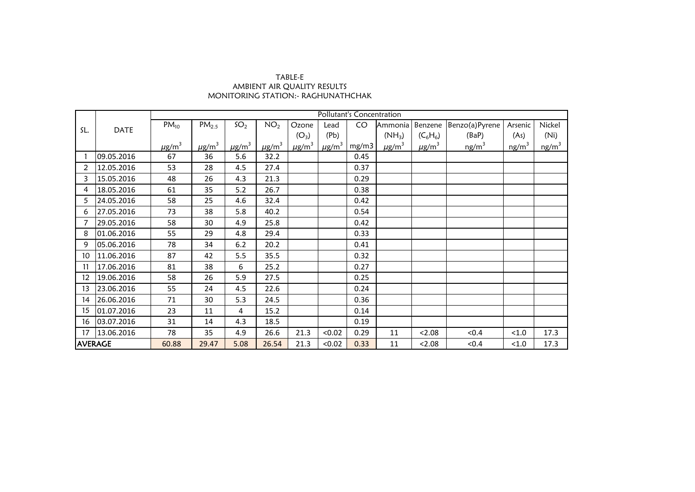## AMBIENT AIR QUALITY RESULTS MONITORING STATION:- RAGHUNATHCHAK TABLE-E

|                 | <b>DATE</b> | Pollutant's Concentration |                        |                        |                        |                        |                        |       |                        |                        |                   |                   |                   |  |
|-----------------|-------------|---------------------------|------------------------|------------------------|------------------------|------------------------|------------------------|-------|------------------------|------------------------|-------------------|-------------------|-------------------|--|
| SL.             |             | $PM_{10}$                 | $PM_{2.5}$             | SO <sub>2</sub>        | NO <sub>2</sub>        | Ozone                  | Lead                   | CO    | Ammonia                | Benzene                | Benzo(a)Pyrene    | Arsenic           | Nickel            |  |
|                 |             |                           |                        |                        |                        | $(O_3)$                | (Pb)                   |       | $(NH_3)$               | $(C_6H_6)$             | (BaP)             | (As)              | (Ni)              |  |
|                 |             | $\mu$ g/m <sup>3</sup>    | $\mu$ g/m <sup>3</sup> | $\mu$ g/m <sup>3</sup> | $\mu$ g/m <sup>3</sup> | $\mu$ g/m <sup>3</sup> | $\mu$ g/m <sup>3</sup> | mg/m3 | $\mu$ g/m <sup>3</sup> | $\mu$ g/m <sup>3</sup> | ng/m <sup>3</sup> | ng/m <sup>3</sup> | ng/m <sup>3</sup> |  |
|                 | 09.05.2016  | 67                        | 36                     | 5.6                    | 32.2                   |                        |                        | 0.45  |                        |                        |                   |                   |                   |  |
| $\overline{2}$  | 12.05.2016  | 53                        | 28                     | 4.5                    | 27.4                   |                        |                        | 0.37  |                        |                        |                   |                   |                   |  |
| 3               | 15.05.2016  | 48                        | 26                     | 4.3                    | 21.3                   |                        |                        | 0.29  |                        |                        |                   |                   |                   |  |
| 4               | 18.05.2016  | 61                        | 35                     | 5.2                    | 26.7                   |                        |                        | 0.38  |                        |                        |                   |                   |                   |  |
| 5               | 24.05.2016  | 58                        | 25                     | 4.6                    | 32.4                   |                        |                        | 0.42  |                        |                        |                   |                   |                   |  |
| 6               | 27.05.2016  | 73                        | 38                     | 5.8                    | 40.2                   |                        |                        | 0.54  |                        |                        |                   |                   |                   |  |
|                 | 29.05.2016  | 58                        | 30                     | 4.9                    | 25.8                   |                        |                        | 0.42  |                        |                        |                   |                   |                   |  |
| 8               | 01.06.2016  | 55                        | 29                     | 4.8                    | 29.4                   |                        |                        | 0.33  |                        |                        |                   |                   |                   |  |
| 9               | 05.06.2016  | 78                        | 34                     | $6.2$                  | 20.2                   |                        |                        | 0.41  |                        |                        |                   |                   |                   |  |
| 10              | 11.06.2016  | 87                        | 42                     | 5.5                    | 35.5                   |                        |                        | 0.32  |                        |                        |                   |                   |                   |  |
| 11              | 17.06.2016  | 81                        | 38                     | 6                      | 25.2                   |                        |                        | 0.27  |                        |                        |                   |                   |                   |  |
| 12 <sup>°</sup> | 19.06.2016  | 58                        | 26                     | 5.9                    | 27.5                   |                        |                        | 0.25  |                        |                        |                   |                   |                   |  |
| 13              | 23.06.2016  | 55                        | 24                     | 4.5                    | 22.6                   |                        |                        | 0.24  |                        |                        |                   |                   |                   |  |
| 14              | 26.06.2016  | 71                        | 30                     | 5.3                    | 24.5                   |                        |                        | 0.36  |                        |                        |                   |                   |                   |  |
| 15              | 01.07.2016  | 23                        | 11                     | 4                      | 15.2                   |                        |                        | 0.14  |                        |                        |                   |                   |                   |  |
| 16              | 03.07.2016  | 31                        | 14                     | 4.3                    | 18.5                   |                        |                        | 0.19  |                        |                        |                   |                   |                   |  |
| 17              | 13.06.2016  | 78                        | 35                     | 4.9                    | 26.6                   | 21.3                   | < 0.02                 | 0.29  | 11                     | < 2.08                 | < 0.4             | < 1.0             | 17.3              |  |
| <b>AVERAGE</b>  |             | 60.88                     | 29.47                  | 5.08                   | 26.54                  | 21.3                   | < 0.02                 | 0.33  | 11                     | 2.08                   | < 0.4             | < 1.0             | 17.3              |  |